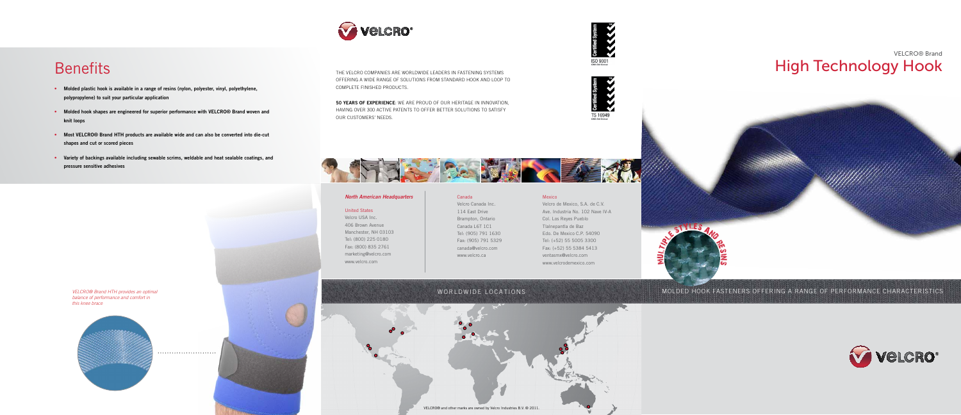the velcro companies are worldwide leaders in fastening systems offering a wide range of solutions from standard hook and loop to complete finished products.

50 years of experience: we are proud of our heritage in innovation, having over 300 active patents to offer better solutions to satisfy our customers' needs.

## VELCRO® Brand Benefits **High Technology Hook**

- Molded plastic hook is available in a range of resins (nylon, polyester, vinyl, polyethylene, polypropylene) to suit your particular application
- Molded hook shapes are engineered for superior performance with VELCRO® Brand woven and knit loops
- Most VELCRO® Brand HTH products are available wide and can also be converted into die-cut shapes and cut or scored pieces
- Variety of backings available including sewable scrims, weldable and heat sealable coatings, and pressure sensitive adhesives















### molded hook fasteners offering a range of performance characteristics